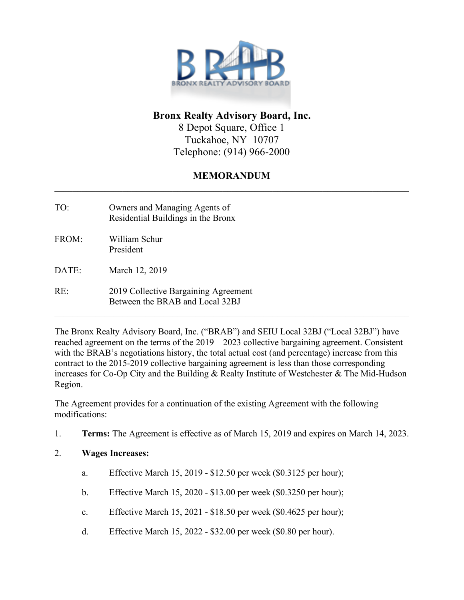

# **Bronx Realty Advisory Board, Inc.**

8 Depot Square, Office 1 Tuckahoe, NY 10707 Telephone: (914) 966-2000

### **MEMORANDUM**  $\mathcal{L}_\mathcal{L} = \{ \mathcal{L}_\mathcal{L} = \{ \mathcal{L}_\mathcal{L} = \{ \mathcal{L}_\mathcal{L} = \{ \mathcal{L}_\mathcal{L} = \{ \mathcal{L}_\mathcal{L} = \{ \mathcal{L}_\mathcal{L} = \{ \mathcal{L}_\mathcal{L} = \{ \mathcal{L}_\mathcal{L} = \{ \mathcal{L}_\mathcal{L} = \{ \mathcal{L}_\mathcal{L} = \{ \mathcal{L}_\mathcal{L} = \{ \mathcal{L}_\mathcal{L} = \{ \mathcal{L}_\mathcal{L} = \{ \mathcal{L}_\mathcal{$

| TO:   | Owners and Managing Agents of<br>Residential Buildings in the Bronx |  |  |
|-------|---------------------------------------------------------------------|--|--|
| FROM: | William Schur<br>President                                          |  |  |
| DATE: | March 12, 2019                                                      |  |  |
| RE:   | 2019 Collective Bargaining Agreement                                |  |  |

Between the BRAB and Local 32BJ

The Bronx Realty Advisory Board, Inc. ("BRAB") and SEIU Local 32BJ ("Local 32BJ") have reached agreement on the terms of the 2019 – 2023 collective bargaining agreement. Consistent with the BRAB's negotiations history, the total actual cost (and percentage) increase from this contract to the 2015-2019 collective bargaining agreement is less than those corresponding increases for Co-Op City and the Building & Realty Institute of Westchester & The Mid-Hudson Region.

 $\mathcal{L}_\mathcal{L} = \{ \mathcal{L}_\mathcal{L} = \{ \mathcal{L}_\mathcal{L} = \{ \mathcal{L}_\mathcal{L} = \{ \mathcal{L}_\mathcal{L} = \{ \mathcal{L}_\mathcal{L} = \{ \mathcal{L}_\mathcal{L} = \{ \mathcal{L}_\mathcal{L} = \{ \mathcal{L}_\mathcal{L} = \{ \mathcal{L}_\mathcal{L} = \{ \mathcal{L}_\mathcal{L} = \{ \mathcal{L}_\mathcal{L} = \{ \mathcal{L}_\mathcal{L} = \{ \mathcal{L}_\mathcal{L} = \{ \mathcal{L}_\mathcal{$ 

The Agreement provides for a continuation of the existing Agreement with the following modifications:

1. **Terms:** The Agreement is effective as of March 15, 2019 and expires on March 14, 2023.

### 2. **Wages Increases:**

- a. Effective March 15, 2019 \$12.50 per week (\$0.3125 per hour);
- b. Effective March 15, 2020 \$13.00 per week (\$0.3250 per hour);
- c. Effective March 15, 2021 \$18.50 per week (\$0.4625 per hour);
- d. Effective March 15, 2022 \$32.00 per week (\$0.80 per hour).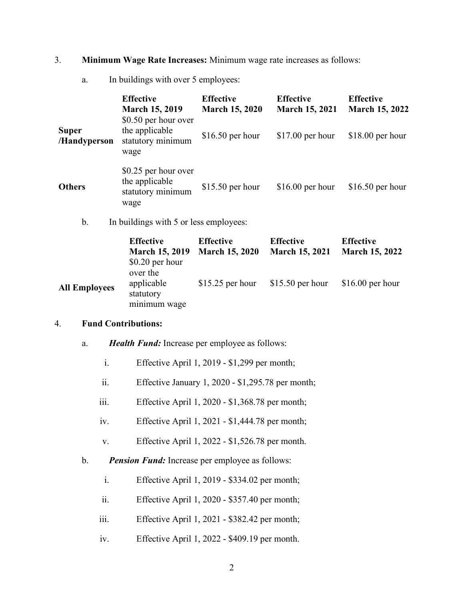- 3. **Minimum Wage Rate Increases:** Minimum wage rate increases as follows:
	- a. In buildings with over 5 employees:

|                              | <b>Effective</b><br><b>March 15, 2019</b>                           | <b>Effective</b><br><b>March 15, 2020</b> | <b>Effective</b><br><b>March 15, 2021</b> | <b>Effective</b><br><b>March 15, 2022</b> |
|------------------------------|---------------------------------------------------------------------|-------------------------------------------|-------------------------------------------|-------------------------------------------|
| <b>Super</b><br>/Handyperson | \$0.50 per hour over<br>the applicable<br>statutory minimum<br>wage | \$16.50 per hour                          | $$17.00$ per hour                         | $$18.00$ per hour                         |
| <b>Others</b>                | \$0.25 per hour over<br>the applicable<br>statutory minimum<br>wage | $$15.50$ per hour                         | $$16.00$ per hour                         | $$16.50$ per hour                         |

b. In buildings with 5 or less employees:

|                      | <b>Effective</b><br><b>March 15, 2019</b><br>$$0.20$ per hour<br>over the | <b>Effective</b><br><b>March 15, 2020</b> | <b>Effective</b><br><b>March 15, 2021</b> | <b>Effective</b><br><b>March 15, 2022</b> |
|----------------------|---------------------------------------------------------------------------|-------------------------------------------|-------------------------------------------|-------------------------------------------|
| <b>All Employees</b> | applicable<br>statutory<br>minimum wage                                   | \$15.25 per hour                          | $$15.50$ per hour                         | $$16.00$ per hour                         |

#### 4. **Fund Contributions:**

- a. *Health Fund:* Increase per employee as follows:
	- i. Effective April 1, 2019 \$1,299 per month;
	- ii. Effective January 1, 2020 \$1,295.78 per month;
	- iii. Effective April 1, 2020 \$1,368.78 per month;
	- iv. Effective April 1, 2021 \$1,444.78 per month;
	- v. Effective April 1, 2022 \$1,526.78 per month.
- b. *Pension Fund:* Increase per employee as follows:
	- i. Effective April 1, 2019 \$334.02 per month;
	- ii. Effective April 1, 2020 \$357.40 per month;
	- iii. Effective April 1, 2021 \$382.42 per month;
	- iv. Effective April 1, 2022 \$409.19 per month.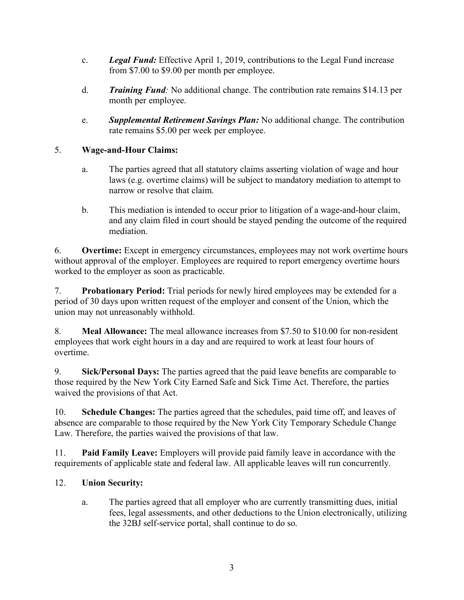- c. *Legal Fund:* Effective April 1, 2019, contributions to the Legal Fund increase from \$7.00 to \$9.00 per month per employee.
- d. *Training Fund:* No additional change. The contribution rate remains \$14.13 per month per employee.
- e. *Supplemental Retirement Savings Plan:* No additional change. The contribution rate remains \$5.00 per week per employee.

## 5. **Wage-and-Hour Claims:**

- a. The parties agreed that all statutory claims asserting violation of wage and hour laws (e.g. overtime claims) will be subject to mandatory mediation to attempt to narrow or resolve that claim.
- b. This mediation is intended to occur prior to litigation of a wage-and-hour claim, and any claim filed in court should be stayed pending the outcome of the required mediation.

6. **Overtime:** Except in emergency circumstances, employees may not work overtime hours without approval of the employer. Employees are required to report emergency overtime hours worked to the employer as soon as practicable.

7. **Probationary Period:** Trial periods for newly hired employees may be extended for a period of 30 days upon written request of the employer and consent of the Union, which the union may not unreasonably withhold.

8. **Meal Allowance:** The meal allowance increases from \$7.50 to \$10.00 for non-resident employees that work eight hours in a day and are required to work at least four hours of overtime.

9. **Sick/Personal Days:** The parties agreed that the paid leave benefits are comparable to those required by the New York City Earned Safe and Sick Time Act. Therefore, the parties waived the provisions of that Act.

10. **Schedule Changes:** The parties agreed that the schedules, paid time off, and leaves of absence are comparable to those required by the New York City Temporary Schedule Change Law. Therefore, the parties waived the provisions of that law.

11. **Paid Family Leave:** Employers will provide paid family leave in accordance with the requirements of applicable state and federal law. All applicable leaves will run concurrently.

### 12. **Union Security:**

a. The parties agreed that all employer who are currently transmitting dues, initial fees, legal assessments, and other deductions to the Union electronically, utilizing the 32BJ self-service portal, shall continue to do so.